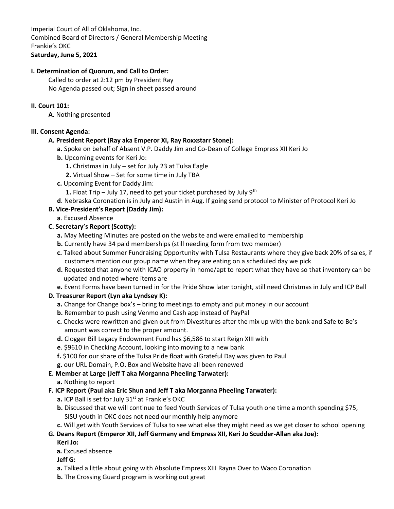Imperial Court of All of Oklahoma, Inc. Combined Board of Directors / General Membership Meeting Frankie's OKC **Saturday, June 5, 2021**

## **I. Determination of Quorum, and Call to Order:**

Called to order at 2:12 pm by President Ray No Agenda passed out; Sign in sheet passed around

### **II. Court 101:**

**A.** Nothing presented

### **III. Consent Agenda:**

### **A. President Report (Ray aka Emperor XI, Ray Roxxstarr Stone):**

- **a.** Spoke on behalf of Absent V.P. Daddy Jim and Co-Dean of College Empress XII Keri Jo
- **b.** Upcoming events for Keri Jo:
	- **1.** Christmas in July set for July 23 at Tulsa Eagle
	- **2.** Virtual Show Set for some time in July TBA
- **c.** Upcoming Event for Daddy Jim:
	- **1.** Float Trip July 17, need to get your ticket purchased by July  $9<sup>th</sup>$
- **d**. Nebraska Coronation is in July and Austin in Aug. If going send protocol to Minister of Protocol Keri Jo

# **B. Vice-President's Report (Daddy Jim):**

**a**. Excused Absence

# **C. Secretary's Report (Scotty):**

- **a.** May Meeting Minutes are posted on the website and were emailed to membership
- **b.** Currently have 34 paid memberships (still needing form from two member)
- **c.** Talked about Summer Fundraising Opportunity with Tulsa Restaurants where they give back 20% of sales, if customers mention our group name when they are eating on a scheduled day we pick
- **d.** Requested that anyone with ICAO property in home/apt to report what they have so that inventory can be updated and noted where items are
- **e.** Event Forms have been turned in for the Pride Show later tonight, still need Christmas in July and ICP Ball

# **D. Treasurer Report (Lyn aka Lyndsey K):**

- **a.** Change for Change box's bring to meetings to empty and put money in our account
- **b.** Remember to push using Venmo and Cash app instead of PayPal
- **c.** Checks were rewritten and given out from Divestitures after the mix up with the bank and Safe to Be's amount was correct to the proper amount.
- **d.** Clogger Bill Legacy Endowment Fund has \$6,586 to start Reign XIII with
- **e**. \$9610 in Checking Account, looking into moving to a new bank
- **f.** \$100 for our share of the Tulsa Pride float with Grateful Day was given to Paul
- **g.** our URL Domain, P.O. Box and Website have all been renewed

# **E. Member at Large (Jeff T aka Morganna Pheeling Tarwater):**

# **a.** Nothing to report

- **F. ICP Report (Paul aka Eric Shun and Jeff T aka Morganna Pheeling Tarwater):**
	- **a.** ICP Ball is set for July 31<sup>st</sup> at Frankie's OKC
	- **b.** Discussed that we will continue to feed Youth Services of Tulsa youth one time a month spending \$75, SISU youth in OKC does not need our monthly help anymore

#### **c.** Will get with Youth Services of Tulsa to see what else they might need as we get closer to school opening

#### **G. Deans Report (Emperor XII, Jeff Germany and Empress XII, Keri Jo Scudder-Allan aka Joe): Keri Jo:**

 **a.** Excused absence

**Jeff G:**

- **a.** Talked a little about going with Absolute Empress XIII Rayna Over to Waco Coronation
- **b.** The Crossing Guard program is working out great